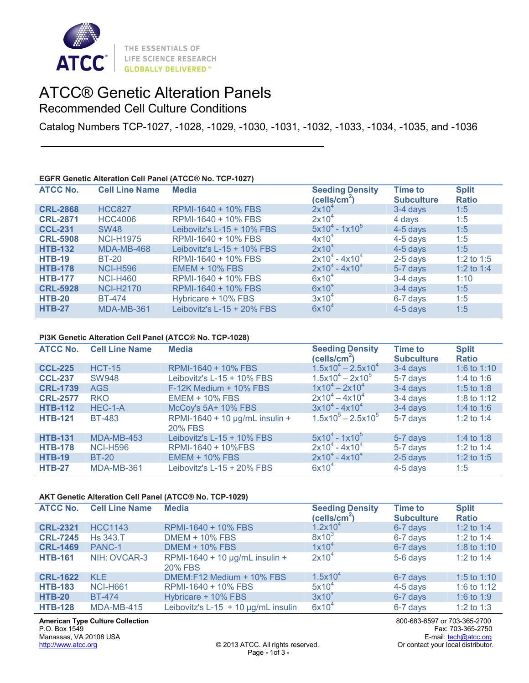

# ATCC® Genetic Alteration Panels

Recommended Cell Culture Conditions

Catalog Numbers TCP-1027, -1028, -1029, -1030, -1031, -1032, -1033, -1034, -1035, and -1036

## **EGFR Genetic Alteration Cell Panel (ATCC® No. TCP-1027)**

| <b>ATCC No.</b> | <b>Cell Line Name</b> | <b>Media</b>                  | <b>Seeding Density</b><br>(cells/cm <sup>2</sup> ) | <b>Time to</b><br><b>Subculture</b> | <b>Split</b><br><b>Ratio</b> |
|-----------------|-----------------------|-------------------------------|----------------------------------------------------|-------------------------------------|------------------------------|
| <b>CRL-2868</b> | <b>HCC827</b>         | RPMI-1640 + 10% FBS           | $2x10^4$                                           | 3-4 days                            | 1:5                          |
| <b>CRL-2871</b> | <b>HCC4006</b>        | RPMI-1640 + 10% FBS           | $2x10^4$                                           | 4 days                              | 1:5                          |
| <b>CCL-231</b>  | <b>SW48</b>           | Leibovitz's $L-15 + 10\%$ FBS | $5x10^4 - 1x10^5$                                  | 4-5 days                            | 1:5                          |
| <b>CRL-5908</b> | <b>NCI-H1975</b>      | RPMI-1640 + 10% FBS           | $4x10^4$                                           | 4-5 days                            | 1:5                          |
| <b>HTB-132</b>  | MDA-MB-468            | Leibovitz's $L-15 + 10\%$ FBS | $2x10^4$                                           | $4-5$ days                          | 1:5                          |
| <b>HTB-19</b>   | <b>BT-20</b>          | RPMI-1640 + 10% FBS           | $2x10^4 - 4x10^4$                                  | $2-5$ days                          | 1:2 to 1:5                   |
| <b>HTB-178</b>  | <b>NCI-H596</b>       | <b>EMEM + 10% FBS</b>         | $2x10^4 - 4x10^4$                                  | 5-7 days                            | 1:2 to 1:4                   |
| <b>HTB-177</b>  | <b>NCI-H460</b>       | RPMI-1640 + 10% FBS           | $6x10^4$                                           | 3-4 days                            | 1:10                         |
| <b>CRL-5928</b> | <b>NCI-H2170</b>      | RPMI-1640 + 10% FBS           | $6x10^4$                                           | 3-4 days                            | 1:5                          |
| <b>HTB-20</b>   | <b>BT-474</b>         | Hybricare + 10% FBS           | $3x10^4$                                           | 6-7 days                            | 1:5                          |
| <b>HTB-27</b>   | MDA-MB-361            | Leibovitz's L-15 + 20% FBS    | $6x10^4$                                           | 4-5 days                            | 1:5                          |

## **PI3K Genetic Alteration Cell Panel (ATCC® No. TCP-1028)**

| <b>ATCC No.</b> | <b>Cell Line Name</b> | <b>Media</b>                                     | <b>Seeding Density</b><br>(cells/cm <sup>2</sup> ) | <b>Time to</b><br><b>Subculture</b> | <b>Split</b><br><b>Ratio</b> |
|-----------------|-----------------------|--------------------------------------------------|----------------------------------------------------|-------------------------------------|------------------------------|
| <b>CCL-225</b>  | <b>HCT-15</b>         | RPMI-1640 + 10% FBS                              | $1.5x10^4 - 2.5x10^4$                              | $3-4$ days                          | 1:6 to 1:10                  |
| <b>CCL-237</b>  | <b>SW948</b>          | Leibovitz's L-15 + 10% FBS                       | $1.5x10^{4} - 2x10^{5}$                            | 5-7 days                            | 1:4 to 1:6                   |
| <b>CRL-1739</b> | <b>AGS</b>            | F-12K Medium + 10% FBS                           | $1x10^4 - 2x10^4$                                  | $3-4$ days                          | 1:5 to 1:8                   |
| <b>CRL-2577</b> | <b>RKO</b>            | $EMEM + 10\% FBS$                                | $2x10^4 - 4x10^4$                                  | $3-4$ days                          | 1:8 to 1:12                  |
| <b>HTB-112</b>  | HEC-1-A               | McCoy's 5A+ 10% FBS                              | $3x10^{4} - 4x10^{4}$                              | 3-4 days                            | 1:4 to 1:6                   |
| <b>HTB-121</b>  | <b>BT-483</b>         | RPMI-1640 + 10 µg/mL insulin +<br><b>20% FBS</b> | $1.5x10^{5} - 2.5x10^{5}$                          | 5-7 days                            | 1:2 to 1:4                   |
| <b>HTB-131</b>  | MDA-MB-453            | Leibovitz's L-15 + 10% FBS                       | $5x10^4 - 1x10^5$                                  | 5-7 days                            | 1:4 to 1:8                   |
| <b>HTB-178</b>  | <b>NCI-H596</b>       | RPMI-1640 + 10%FBS                               | $2x10^4 - 4x10^4$                                  | 5-7 days                            | 1:2 to 1:4                   |
| <b>HTB-19</b>   | <b>BT-20</b>          | $EMEM + 10\% FBS$                                | $2x10^4 - 4x10^4$                                  | $2-5$ days                          | 1:2 to 1:5                   |
| <b>HTB-27</b>   | MDA-MB-361            | Leibovitz's L-15 + 20% FBS                       | $6x10^4$                                           | $4-5$ days                          | 1:5                          |

## **AKT Genetic Alteration Cell Panel (ATCC® No. TCP-1029)**

| <b>ATCC No.</b> | <b>Cell Line Name</b> | <b>Media</b>                                          | <b>Seeding Density</b><br>(cells/cm <sup>2</sup> ) | <b>Time to</b><br><b>Subculture</b> | <b>Split</b><br><b>Ratio</b> |
|-----------------|-----------------------|-------------------------------------------------------|----------------------------------------------------|-------------------------------------|------------------------------|
| <b>CRL-2321</b> | <b>HCC1143</b>        | RPMI-1640 + 10% FBS                                   | $1.2x10^4$                                         | 6-7 days                            | 1:2 to 1:4                   |
| <b>CRL-7245</b> | <b>Hs 343.T</b>       | <b>DMEM + 10% FBS</b>                                 | $8x10^3$                                           | 6-7 days                            | 1:2 to 1:4                   |
| <b>CRL-1469</b> | PANC-1                | <b>DMEM + 10% FBS</b>                                 | $1x10^4$                                           | 6-7 days                            | 1:8 to 1:10                  |
| <b>HTB-161</b>  | NIH: OVCAR-3          | RPMI-1640 + 10 $\mu$ g/mL insulin +<br><b>20% FBS</b> | $2x10^4$                                           | 5-6 days                            | 1:2 to 1:4                   |
| <b>CRL-1622</b> | KLE.                  | DMEM:F12 Medium + 10% FBS                             | $1.5x10^{4}$                                       | 6-7 days                            | 1:5 to 1:10                  |
| <b>HTB-183</b>  | <b>NCI-H661</b>       | RPMI-1640 + 10% FBS                                   | $5x10^4$                                           | $4-5$ days                          | 1:6 to 1:12                  |
| <b>HTB-20</b>   | <b>BT-474</b>         | Hybricare + 10% FBS                                   | $3x10^4$                                           | 6-7 days                            | 1:6 to 1:9                   |
| <b>HTB-128</b>  | <b>MDA-MB-415</b>     | Leibovitz's $L-15 + 10$ µg/mL insulin                 | $6x10^4$                                           | 6-7 days                            | 1:2 to 1:3                   |

**American Type Culture Collection** P.O. Box 1549 Manassas, VA 20108 USA [http://www.atcc.org](http://www.atcc.org/)

800-683-6597 or 703-365-2700 Fax: 703-365-2750 E-mail[: tech@atcc.org](mailto:tech@atcc.org)<br>Or contact your local distributor.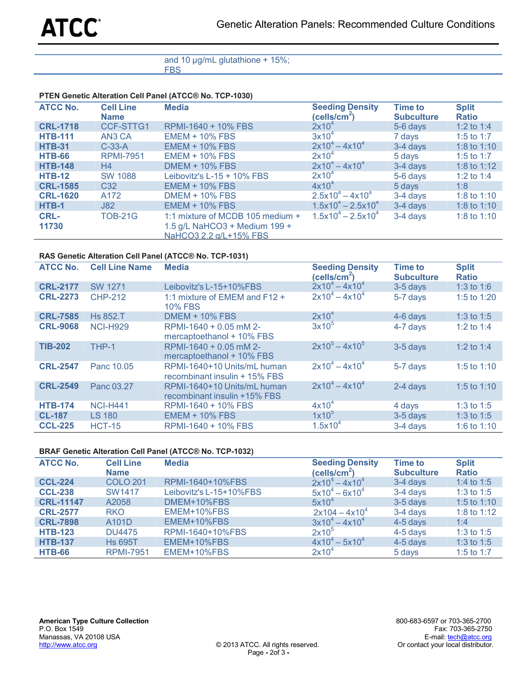## and 10 µg/mL glutathione + 15%; FBS

## **PTEN Genetic Alteration Cell Panel (ATCC® No. TCP-1030)**

| <b>ATCC No.</b> | <b>Cell Line</b><br><b>Name</b> | <b>Media</b>                                                                                | <b>Seeding Density</b><br>(cells/cm <sup>2</sup> ) | <b>Time to</b><br><b>Subculture</b> | <b>Split</b><br><b>Ratio</b> |
|-----------------|---------------------------------|---------------------------------------------------------------------------------------------|----------------------------------------------------|-------------------------------------|------------------------------|
| <b>CRL-1718</b> | CCF-STTG1                       | RPMI-1640 + 10% FBS                                                                         | $2x10^4$                                           | 5-6 days                            | 1:2 to 1:4                   |
| <b>HTB-111</b>  | AN3 CA                          | $EMEM + 10\% FBS$                                                                           | $3x10^4$                                           | 7 days                              | 1:5 to 1:7                   |
| <b>HTB-31</b>   | $C-33-A$                        | $EMEM + 10\% FBS$                                                                           | $2x10^4 - 4x10^4$                                  | 3-4 days                            | 1:8 to 1:10                  |
| <b>HTB-66</b>   | <b>RPMI-7951</b>                | $EMEM + 10\% FBS$                                                                           | $2x10^4$                                           | 5 days                              | 1:5 to 1:7                   |
| <b>HTB-148</b>  | H <sub>4</sub>                  | <b>DMEM + 10% FBS</b>                                                                       | $2x10^4 - 4x10^4$                                  | 3-4 days                            | 1:8 to 1:12                  |
| <b>HTB-12</b>   | <b>SW 1088</b>                  | Leibovitz's L-15 + 10% FBS                                                                  | $2x10^4$                                           | 5-6 days                            | 1:2 to 1:4                   |
| <b>CRL-1585</b> | C <sub>32</sub>                 | $EMEM + 10\% FBS$                                                                           | $4x10^4$                                           | 5 days                              | 1:8                          |
| <b>CRL-1620</b> | A172                            | <b>DMEM + 10% FBS</b>                                                                       | $2.5x10^{4} - 4x10^{4}$                            | 3-4 days                            | 1:8 to 1:10                  |
| HTB-1           | J82                             | $EMEM + 10\% FBS$                                                                           | $1.5x10^{4} - 2.5x10^{4}$                          | 3-4 days                            | 1:8 to 1:10                  |
| CRL-<br>11730   | <b>TOB-21G</b>                  | 1:1 mixture of MCDB 105 medium +<br>1.5 g/L NaHCO3 + Medium 199 +<br>NaHCO3 2.2 a/L+15% FBS | $1.5x10^{4} - 2.5x10^{4}$                          | 3-4 days                            | 1:8 to 1:10                  |

# **RAS Genetic Alteration Cell Panel (ATCC® No. TCP-1031)**

| <b>ATCC No.</b> | <b>Cell Line Name</b> | <b>Media</b>                                                 | <b>Seeding Density</b><br>(cells/cm <sup>2</sup> ) | <b>Time to</b><br><b>Subculture</b> | <b>Split</b><br><b>Ratio</b> |
|-----------------|-----------------------|--------------------------------------------------------------|----------------------------------------------------|-------------------------------------|------------------------------|
| <b>CRL-2177</b> | <b>SW 1271</b>        | Leibovitz's L-15+10%FBS                                      | $2x10^4 - 4x10^4$                                  | $3-5$ days                          | 1:3 to 1:6                   |
| <b>CRL-2273</b> | <b>CHP-212</b>        | 1:1 mixture of EMEM and F12 +<br><b>10% FBS</b>              | $2x10^4 - 4x10^4$                                  | 5-7 days                            | 1:5 to 1:20                  |
| <b>CRL-7585</b> | <b>Hs 852.T</b>       | $DMEM + 10\% FBS$                                            | $2x10^4$                                           | 4-6 days                            | 1:3 to 1:5                   |
| <b>CRL-9068</b> | <b>NCI-H929</b>       | RPMI-1640 + 0.05 mM 2-<br>mercaptoethanol + 10% FBS          | $3x10^5$                                           | 4-7 days                            | 1:2 to 1:4                   |
| <b>TIB-202</b>  | THP-1                 | RPMI-1640 + 0.05 mM 2-<br>mercaptoethanol + 10% FBS          | $2x10^5 - 4x10^5$                                  | $3-5$ days                          | 1:2 to 1:4                   |
| <b>CRL-2547</b> | Panc 10.05            | RPMI-1640+10 Units/mL human<br>recombinant insulin + 15% FBS | $2x10^4 - 4x10^4$                                  | 5-7 days                            | 1:5 to 1:10                  |
| <b>CRL-2549</b> | Panc 03.27            | RPMI-1640+10 Units/mL human<br>recombinant insulin +15% FBS  | $2x10^4 - 4x10^4$                                  | 2-4 days                            | 1:5 to 1:10                  |
| <b>HTB-174</b>  | <b>NCI-H441</b>       | RPMI-1640 + 10% FBS                                          | $4x10^4$                                           | 4 days                              | 1:3 to 1:5                   |
| <b>CL-187</b>   | <b>LS 180</b>         | <b>EMEM + 10% FBS</b>                                        | $1x10^5$                                           | $3-5$ days                          | 1:3 to 1:5                   |
| <b>CCL-225</b>  | <b>HCT-15</b>         | RPMI-1640 + 10% FBS                                          | $1.5x10^{4}$                                       | 3-4 days                            | 1:6 to 1:10                  |

## **BRAF Genetic Alteration Cell Panel (ATCC® No. TCP-1032)**

| <b>ATCC No.</b>  | <b>Cell Line</b><br><b>Name</b> | <b>Media</b>            | <b>Seeding Density</b><br>(cells/cm <sup>2</sup> ) | <b>Time to</b><br><b>Subculture</b> | <b>Split</b><br><b>Ratio</b> |
|------------------|---------------------------------|-------------------------|----------------------------------------------------|-------------------------------------|------------------------------|
| <b>CCL-224</b>   | <b>COLO 201</b>                 | RPMI-1640+10%FBS        | $2x10^4 - 4x10^4$                                  | 3-4 days                            | 1:4 to 1:5                   |
| <b>CCL-238</b>   | SW1417                          | Leibovitz's L-15+10%FBS | $5x10^{4} - 6x10^{4}$                              | $3-4$ days                          | 1:3 to 1:5                   |
| <b>CRL-11147</b> | A2058                           | DMEM+10%FBS             | $5x10^4$                                           | $3-5$ days                          | 1:5 to 1:10                  |
| <b>CRL-2577</b>  | <b>RKO</b>                      | EMEM+10%FBS             | $2x104 - 4x10^{4}$                                 | 3-4 days                            | 1:8 to 1:12                  |
| <b>CRL-7898</b>  | A101D                           | EMEM+10%FBS             | $3x10^4 - 4x10^4$                                  | 4-5 days                            | 1:4                          |
| <b>HTB-123</b>   | <b>DU4475</b>                   | RPMI-1640+10%FBS        | 2x10 <sup>5</sup>                                  | 4-5 days                            | 1:3 to 1:5                   |
| <b>HTB-137</b>   | <b>Hs 695T</b>                  | EMEM+10%FBS             | $4x10^{4} - 5x10^{4}$                              | 4-5 days                            | 1:3 to 1:5                   |
| <b>HTB-66</b>    | <b>RPMI-7951</b>                | EMEM+10%FBS             | $2x10^4$                                           | 5 days                              | 1:5 to 1:7                   |